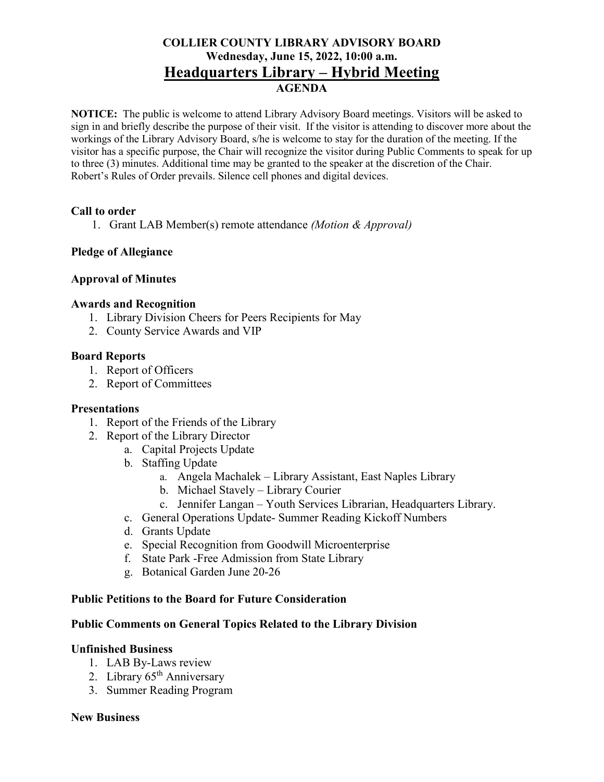## **COLLIER COUNTY LIBRARY ADVISORY BOARD Wednesday, June 15, 2022, 10:00 a.m. Headquarters Library – Hybrid Meeting AGENDA**

**NOTICE:** The public is welcome to attend Library Advisory Board meetings. Visitors will be asked to sign in and briefly describe the purpose of their visit. If the visitor is attending to discover more about the workings of the Library Advisory Board, s/he is welcome to stay for the duration of the meeting. If the visitor has a specific purpose, the Chair will recognize the visitor during Public Comments to speak for up to three (3) minutes. Additional time may be granted to the speaker at the discretion of the Chair. Robert's Rules of Order prevails. Silence cell phones and digital devices.

### **Call to order**

1. Grant LAB Member(s) remote attendance *(Motion & Approval)*

### **Pledge of Allegiance**

### **Approval of Minutes**

#### **Awards and Recognition**

- 1. Library Division Cheers for Peers Recipients for May
- 2. County Service Awards and VIP

#### **Board Reports**

- 1. Report of Officers
- 2. Report of Committees

#### **Presentations**

- 1. Report of the Friends of the Library
- 2. Report of the Library Director
	- a. Capital Projects Update
	- b. Staffing Update
		- a. Angela Machalek Library Assistant, East Naples Library
		- b. Michael Stavely Library Courier
		- c. Jennifer Langan Youth Services Librarian, Headquarters Library.
	- c. General Operations Update- Summer Reading Kickoff Numbers
	- d. Grants Update
	- e. Special Recognition from Goodwill Microenterprise
	- f. State Park -Free Admission from State Library
	- g. Botanical Garden June 20-26

#### **Public Petitions to the Board for Future Consideration**

#### **Public Comments on General Topics Related to the Library Division**

#### **Unfinished Business**

- 1. LAB By-Laws review
- 2. Library  $65<sup>th</sup>$  Anniversary
- 3. Summer Reading Program

#### **New Business**